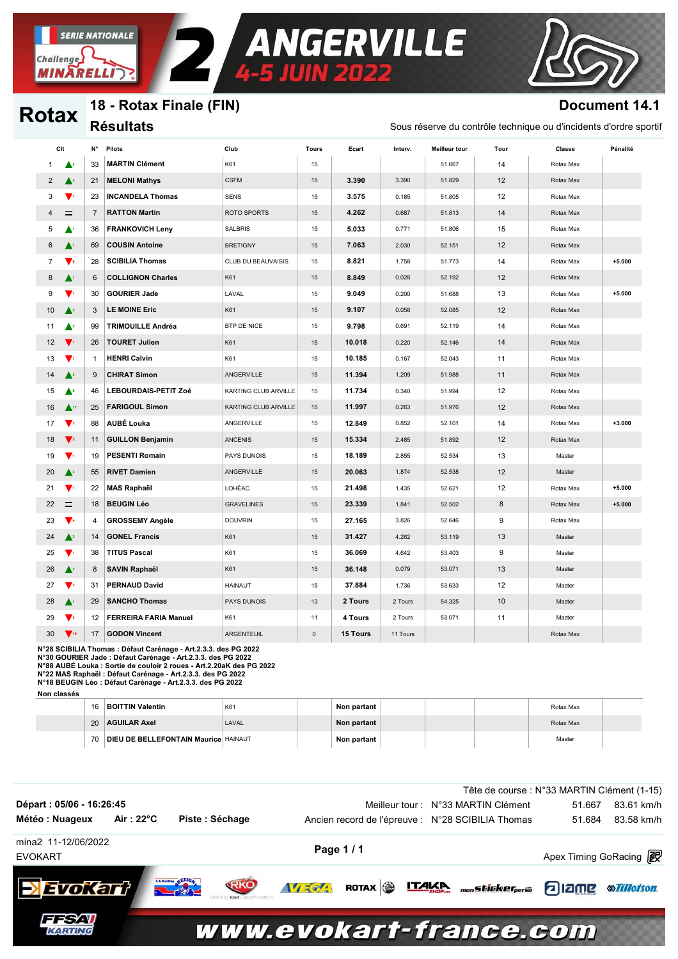

## 18 - Rotax Finale (FIN)

**Résultats** 

**SERIE NATIONALE** 

**MINARELLI** 

Challenge

**Rotax** 

### **Document 14.1**

Sous réserve du contrôle technique ou d'incidents d'ordre sportif

| Cit            |                                | N°             | Pilote                       | Club                 | <b>Tours</b> | Ecart    | Interv.  | <b>Meilleur tour</b> | Tour | Classe    | Pénalité |
|----------------|--------------------------------|----------------|------------------------------|----------------------|--------------|----------|----------|----------------------|------|-----------|----------|
| 1              | $\blacktriangle^2$             | 33             | <b>MARTIN Clément</b>        | K61                  | 15           |          |          | 51.667               | 14   | Rotax Max |          |
| $\overline{2}$ | $\blacktriangle^3$             | 21             | <b>MELONI Mathys</b>         | <b>CSFM</b>          | 15           | 3.390    | 3.390    | 51.829               | 12   | Rotax Max |          |
| 3              | $\blacktriangledown_1$         | 23             | <b>INCANDELA Thomas</b>      | <b>SENS</b>          | 15           | 3.575    | 0.185    | 51.805               | 12   | Rotax Max |          |
| 4              | $=$                            | $\overline{7}$ | <b>RATTON Martin</b>         | ROTO SPORTS          | 15           | 4.262    | 0.687    | 51.813               | 14   | Rotax Max |          |
| 5              | ▲                              | 36             | <b>FRANKOVICH Leny</b>       | <b>SALBRIS</b>       | 15           | 5.033    | 0.771    | 51.806               | 15   | Rotax Max |          |
| 6              | ▲                              | 69             | <b>COUSIN Antoine</b>        | <b>BRETIGNY</b>      | 15           | 7.063    | 2.030    | 52.151               | 12   | Rotax Max |          |
| $\overline{7}$ | $\blacktriangledown$ .         | 28             | <b>SCIBILIA Thomas</b>       | CLUB DU BEAUVAISIS   | 15           | 8.821    | 1.758    | 51.773               | 14   | Rotax Max | $+5.000$ |
| 8              | ▲                              | 6              | <b>COLLIGNON Charles</b>     | K61                  | 15           | 8.849    | 0.028    | 52.192               | 12   | Rotax Max |          |
| 9              | V1                             | 30             | <b>GOURIER Jade</b>          | LAVAL                | 15           | 9.049    | 0.200    | 51.688               | 13   | Rotax Max | $+5.000$ |
| 10             | $\blacktriangle^s$             | 3              | <b>LE MOINE Eric</b>         | K61                  | 15           | 9.107    | 0.058    | 52.085               | 12   | Rotax Max |          |
| 11             | $\blacktriangle^s$             | 99             | <b>TRIMOUILLE Andréa</b>     | BTP DE NICE          | 15           | 9.798    | 0.691    | 52.119               | 14   | Rotax Max |          |
| 12             | $\blacktriangledown$           | 26             | <b>TOURET Julien</b>         | K61                  | 15           | 10.018   | 0.220    | 52.146               | 14   | Rotax Max |          |
| 13             | $\mathbf{v}$                   | $\mathbf{1}$   | <b>HENRI Calvin</b>          | K61                  | 15           | 10.185   | 0.167    | 52.043               | 11   | Rotax Max |          |
| 14             | $\blacktriangle^3$             | 9              | <b>CHIRAT Simon</b>          | ANGERVILLE           | 15           | 11.394   | 1.209    | 51.988               | 11   | Rotax Max |          |
| 15             | ▲॰                             | 46             | <b>LEBOURDAIS-PETIT Zoé</b>  | KARTING CLUB ARVILLE | 15           | 11.734   | 0.340    | 51.994               | 12   | Rotax Max |          |
| 16             | $\blacktriangle$ <sup>17</sup> | 25             | <b>FARIGOUL Simon</b>        | KARTING CLUB ARVILLE | 15           | 11.997   | 0.263    | 51.976               | 12   | Rotax Max |          |
| 17             | $\mathbf{v}$                   | 88             | <b>AUBÉ Louka</b>            | ANGERVILLE           | 15           | 12.849   | 0.852    | 52.101               | 14   | Rotax Max | $+3.000$ |
| 18             | $\mathbf{V}$                   | 11             | <b>GUILLON Benjamin</b>      | <b>ANCENIS</b>       | 15           | 15.334   | 2.485    | 51.892               | 12   | Rotax Max |          |
| 19             | V.                             | 19             | <b>PESENTI Romain</b>        | PAYS DUNOIS          | 15           | 18.189   | 2.855    | 52.534               | 13   | Master    |          |
| 20             | $\blacktriangle^3$             | 55             | <b>RIVET Damien</b>          | ANGERVILLE           | 15           | 20.063   | 1.874    | 52.538               | 12   | Master    |          |
| 21             | $\blacktriangledown$           | 22             | <b>MAS Raphaël</b>           | LOHÉAC               | 15           | 21.498   | 1.435    | 52.621               | 12   | Rotax Max | $+5.000$ |
| 22             | $=$                            | 18             | <b>BEUGIN Léo</b>            | <b>GRAVELINES</b>    | 15           | 23.339   | 1.841    | 52.502               | 8    | Rotax Max | $+5.000$ |
| 23             | $\blacktriangledown$           | 4              | <b>GROSSEMY Angèle</b>       | <b>DOUVRIN</b>       | 15           | 27.165   | 3.826    | 52.646               | 9    | Rotax Max |          |
| 24             | $\blacktriangle^3$             | 14             | <b>GONEL Francis</b>         | K61                  | 15           | 31.427   | 4.262    | 53.119               | 13   | Master    |          |
| 25             | $\blacktriangledown$           | 38             | <b>TITUS Pascal</b>          | K61                  | 15           | 36.069   | 4.642    | 53.403               | 9    | Master    |          |
| 26             | $\blacktriangle^2$             | 8              | <b>SAVIN Raphaël</b>         | K61                  | 15           | 36.148   | 0.079    | 53.071               | 13   | Master    |          |
| 27             | $\mathbf{V}$ <sub>2</sub>      | 31             | <b>PERNAUD David</b>         | <b>HAINAUT</b>       | 15           | 37.884   | 1.736    | 53.633               | 12   | Master    |          |
| 28             | $\blacktriangle^i$             | 29             | <b>SANCHO Thomas</b>         | PAYS DUNOIS          | 13           | 2 Tours  | 2 Tours  | 54.325               | 10   | Master    |          |
| 29             | $\mathbf{V}$                   | 12             | <b>FERREIRA FARIA Manuel</b> | K61                  | 11           | 4 Tours  | 2 Tours  | 53.071               | 11   | Master    |          |
| 30             | $\mathbf{V}$ <sub>16</sub>     | 17             | <b>GODON Vincent</b>         | ARGENTEUIL           | $\mathbf 0$  | 15 Tours | 11 Tours |                      |      | Rotax Max |          |

**ANGERVILLE** 

N°28 SCIBILIA Thomas : Défaut Carénage - Art.2.3.3. des PG 2022 N°28 SCIBILIA I nomas : Defaut Carenage - Art.2.3.3. des PG 2022<br>N°88 AUBÉ Louka : Softie de couloir 2 roues - Art.2.3.3. des PG 2022<br>N°88 AUBÉ Louka : Sortie de couloir 2 roues - Art.2.20aK des PG 2022<br>N°22 MAS Raphaël :

Non classés

| 16 | <b>BOITTIN Valentin</b>                     | K <sub>6</sub> | Non partant |  | Rotax Max |  |
|----|---------------------------------------------|----------------|-------------|--|-----------|--|
| 20 | <b>AGUILAR Axel</b>                         | LAVAL          | Non partant |  | Rotax Max |  |
| 70 | <b>DIEU DE BELLEFONTAIN Maurice HAINAUT</b> |                | Non partant |  | Master    |  |

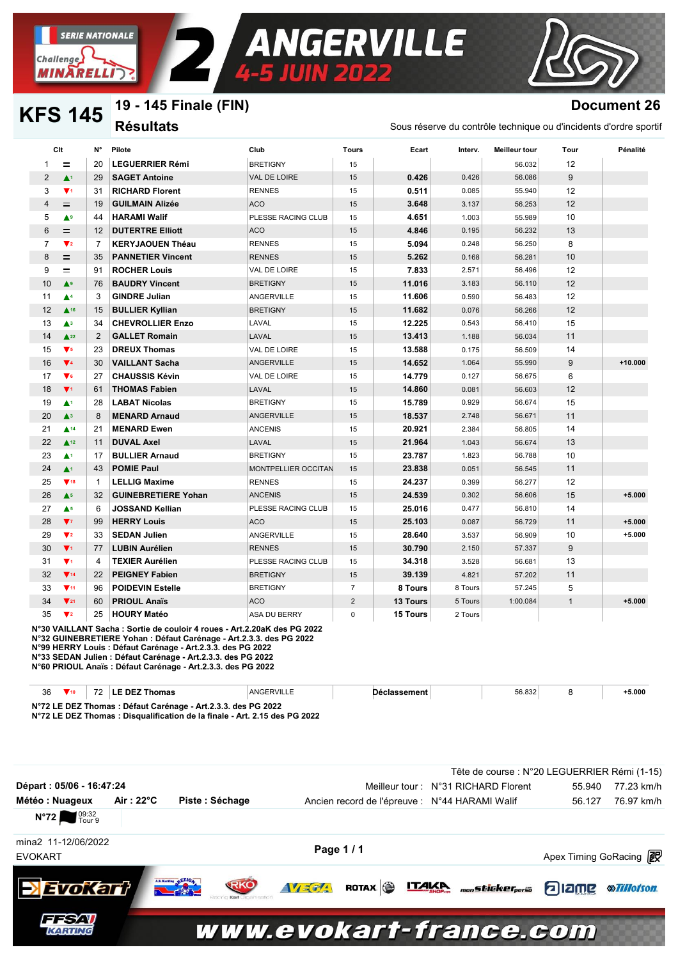

#### 19 - 145 Finale (FIN) **KFS 145 Résultats**

**SERIE NATIONALE** 

**MINARELLI** 

**Challenge** 

## **Document 26**

Sous réserve du contrôle technique ou d'incidents d'ordre sportif

| 1              | $\equiv$                      |                |                            |                            | Tours          | Ecart           | Interv. | Meilleur tour | Tour         | Pénalité  |
|----------------|-------------------------------|----------------|----------------------------|----------------------------|----------------|-----------------|---------|---------------|--------------|-----------|
|                |                               | 20             | <b>LEGUERRIER Rémi</b>     | <b>BRETIGNY</b>            | 15             |                 |         | 56.032        | 12           |           |
| 2              | $\blacktriangle^1$            | 29             | <b>SAGET Antoine</b>       | VAL DE LOIRE               | 15             | 0.426           | 0.426   | 56.086        | 9            |           |
| 3              | $\Psi$ <sub>1</sub>           | 31             | <b>RICHARD Florent</b>     | <b>RENNES</b>              | 15             | 0.511           | 0.085   | 55.940        | 12           |           |
| $\overline{4}$ | $=$                           | 19             | <b>GUILMAIN Alizée</b>     | <b>ACO</b>                 | 15             | 3.648           | 3.137   | 56.253        | 12           |           |
| 5              | AЭ                            | 44             | <b>HARAMI Walif</b>        | PLESSE RACING CLUB         | 15             | 4.651           | 1.003   | 55.989        | 10           |           |
| 6              | $=$                           | 12             | <b>DUTERTRE Elliott</b>    | <b>ACO</b>                 | 15             | 4.846           | 0.195   | 56.232        | 13           |           |
| $\overline{7}$ | $\blacktriangledown_2$        | $\overline{7}$ | <b>KERYJAOUEN Théau</b>    | <b>RENNES</b>              | 15             | 5.094           | 0.248   | 56.250        | 8            |           |
| 8              | $=$                           | 35             | <b>PANNETIER Vincent</b>   | <b>RENNES</b>              | 15             | 5.262           | 0.168   | 56.281        | 10           |           |
| 9              | $\equiv$                      | 91             | <b>ROCHER Louis</b>        | VAL DE LOIRE               | 15             | 7.833           | 2.571   | 56.496        | 12           |           |
| 10             | $\blacktriangle^9$            | 76             | <b>BAUDRY Vincent</b>      | <b>BRETIGNY</b>            | 15             | 11.016          | 3.183   | 56.110        | 12           |           |
| 11             | $\blacktriangle^4$            | 3              | <b>GINDRE Julian</b>       | <b>ANGERVILLE</b>          | 15             | 11.606          | 0.590   | 56.483        | 12           |           |
| 12             | $\triangle$ 16                | 15             | <b>BULLIER Kyllian</b>     | <b>BRETIGNY</b>            | 15             | 11.682          | 0.076   | 56.266        | 12           |           |
| 13             | $\blacktriangle$ <sup>3</sup> | 34             | <b>CHEVROLLIER Enzo</b>    | LAVAL                      | 15             | 12.225          | 0.543   | 56.410        | 15           |           |
| 14             | $\triangle$ 22                | 2              | <b>GALLET Romain</b>       | LAVAL                      | 15             | 13.413          | 1.188   | 56.034        | 11           |           |
| 15             | $\mathbf{V}$ <sub>5</sub>     | 23             | <b>DREUX Thomas</b>        | VAL DE LOIRE               | 15             | 13.588          | 0.175   | 56.509        | 14           |           |
| 16             | $\Psi$ 4                      | 30             | <b>VAILLANT Sacha</b>      | ANGERVILLE                 | 15             | 14.652          | 1.064   | 55.990        | 9            | $+10.000$ |
| 17             | $\blacktriangledown$ 6        | 27             | <b>CHAUSSIS Kévin</b>      | VAL DE LOIRE               | 15             | 14.779          | 0.127   | 56.675        | 6            |           |
| 18             | $\Psi$ <sub>1</sub>           | 61             | <b>THOMAS Fabien</b>       | LAVAL                      | 15             | 14.860          | 0.081   | 56.603        | 12           |           |
| 19             | $\blacktriangle$ 1            | 28             | <b>LABAT Nicolas</b>       | <b>BRETIGNY</b>            | 15             | 15.789          | 0.929   | 56.674        | 15           |           |
| 20             | $\blacktriangle^3$            | 8              | <b>MENARD Arnaud</b>       | <b>ANGERVILLE</b>          | 15             | 18.537          | 2.748   | 56.671        | 11           |           |
| 21             | $\triangle$ 14                | 21             | <b>MENARD Ewen</b>         | <b>ANCENIS</b>             | 15             | 20.921          | 2.384   | 56.805        | 14           |           |
| 22             | $\triangle$ 12                | 11             | <b>DUVAL Axel</b>          | LAVAL                      | 15             | 21.964          | 1.043   | 56.674        | 13           |           |
| 23             | $\blacktriangle$ 1            | 17             | <b>BULLIER Arnaud</b>      | <b>BRETIGNY</b>            | 15             | 23.787          | 1.823   | 56.788        | 10           |           |
| 24             | $\blacktriangle^1$            | 43             | <b>POMIE Paul</b>          | <b>MONTPELLIER OCCITAN</b> | 15             | 23.838          | 0.051   | 56.545        | 11           |           |
| 25             | $\Psi$ <sub>18</sub>          | $\mathbf{1}$   | <b>LELLIG Maxime</b>       | <b>RENNES</b>              | 15             | 24.237          | 0.399   | 56.277        | 12           |           |
| 26             | A <sub>5</sub>                | 32             | <b>GUINEBRETIERE Yohan</b> | <b>ANCENIS</b>             | 15             | 24.539          | 0.302   | 56.606        | 15           | $+5.000$  |
| 27             | $\triangle$ <sup>5</sup>      | 6              | <b>JOSSAND Kellian</b>     | PLESSE RACING CLUB         | 15             | 25.016          | 0.477   | 56.810        | 14           |           |
| 28             | $V_{7}$                       | 99             | <b>HERRY Louis</b>         | <b>ACO</b>                 | 15             | 25.103          | 0.087   | 56.729        | 11           | $+5.000$  |
| 29             | $\mathbf{V}^2$                | 33             | <b>SEDAN Julien</b>        | ANGERVILLE                 | 15             | 28.640          | 3.537   | 56.909        | 10           | $+5.000$  |
| 30             | $\Psi$ <sub>1</sub>           | 77             | <b>LUBIN Aurélien</b>      | <b>RENNES</b>              | 15             | 30.790          | 2.150   | 57.337        | 9            |           |
| 31             | $\Psi$ <sub>1</sub>           | 4              | <b>TEXIER Aurélien</b>     | PLESSE RACING CLUB         | 15             | 34.318          | 3.528   | 56.681        | 13           |           |
| 32             | $\Psi$ 14                     | 22             | <b>PEIGNEY Fabien</b>      | <b>BRETIGNY</b>            | 15             | 39.139          | 4.821   | 57.202        | 11           |           |
| 33             | $\Psi$ 11                     | 96             | <b>POIDEVIN Estelle</b>    | <b>BRETIGNY</b>            | $\overline{7}$ | 8 Tours         | 8 Tours | 57.245        | 5            |           |
| 34             | $\Psi$ 21                     | 60             | <b>PRIOUL Anaïs</b>        | <b>ACO</b>                 | $\overline{2}$ | <b>13 Tours</b> | 5 Tours | 1:00.084      | $\mathbf{1}$ | $+5.000$  |
| 35             | $\blacktriangledown_2$        | 25             | <b>HOURY Matéo</b>         | <b>ASA DU BERRY</b>        | $\Omega$       | 15 Tours        | 2 Tours |               |              |           |

N°30 VAILLANT Sacha : Sortie de couloir 4 roues - Art.2.20aK des PG 2022 N°32 GUINEBRETIERE Yohan : Défaut Carénage - Art.2.3.3. des PG 2022 N°99 HERRY Louis : Défaut Carénage - Art.2.3.3. des PG 2022 N°33 SEDAN Julien : Défaut Carénage - Art.2.3.3. des PG 2022 N°60 PRIOUL Anaïs : Défaut Carénage - Art.2.3.3. des PG 2022

| 36                                                            | $\blacksquare$ 10 | <b>72</b> | LE DEZ Thomas | ANGERVILLE | Dèclassement |  | 56.832 |  | 5.000 |
|---------------------------------------------------------------|-------------------|-----------|---------------|------------|--------------|--|--------|--|-------|
| N°72 LE DEZ Thomas : Défaut Carénage - Art.2.3.3. des PG 2022 |                   |           |               |            |              |  |        |  |       |

N°72 LE DEZ Thomas : Disqualification de la finale - Art. 2.15 des PG 2022

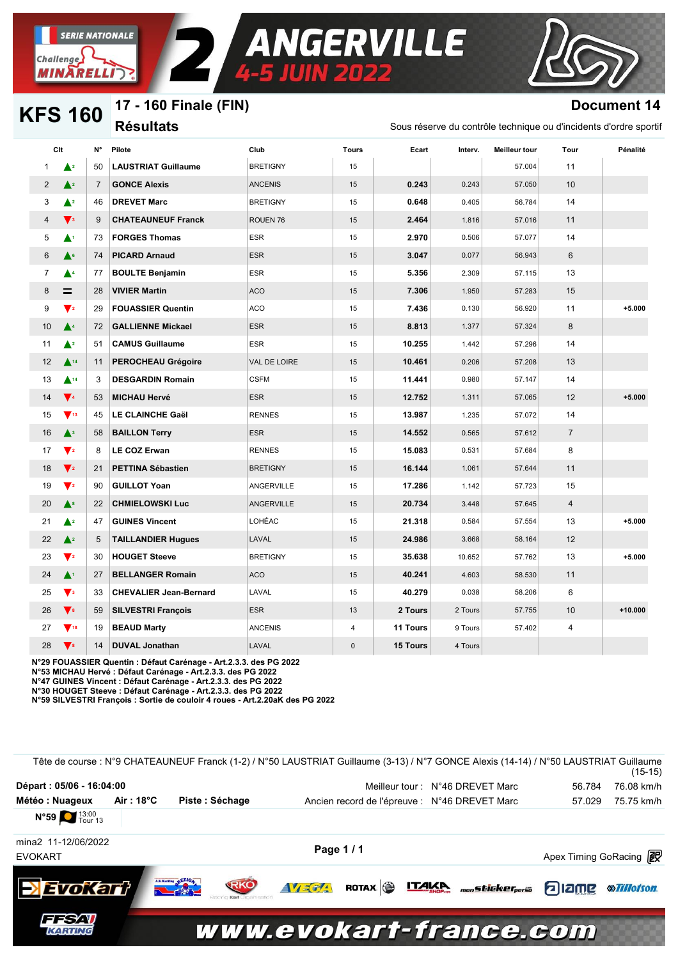

**KFS 160** 

## 17 - 160 Finale (FIN)

**Résultats** 

# **Document 14**

Sous réserve du contrôle technique ou d'incidents d'ordre sportif

|                | Clt                                | N°             | Pilote                        | Club            | <b>Tours</b>            | Ecart           | Interv. | <b>Meilleur tour</b> | Tour            | Pénalité  |
|----------------|------------------------------------|----------------|-------------------------------|-----------------|-------------------------|-----------------|---------|----------------------|-----------------|-----------|
| 1              | $\blacktriangle$ 2                 | 50             | <b>LAUSTRIAT Guillaume</b>    | <b>BRETIGNY</b> | 15                      |                 |         | 57.004               | 11              |           |
| $\overline{c}$ | $\triangle^2$                      | $\overline{7}$ | <b>GONCE Alexis</b>           | <b>ANCENIS</b>  | 15                      | 0.243           | 0.243   | 57.050               | 10 <sup>1</sup> |           |
| 3              | $\triangle^2$                      | 46             | <b>DREVET Marc</b>            | <b>BRETIGNY</b> | 15                      | 0.648           | 0.405   | 56.784               | 14              |           |
| 4              | $\blacktriangledown_3$             | 9              | <b>CHATEAUNEUF Franck</b>     | ROUEN 76        | 15                      | 2.464           | 1.816   | 57.016               | 11              |           |
| 5              | ▲                                  | 73             | <b>FORGES Thomas</b>          | <b>ESR</b>      | 15                      | 2.970           | 0.506   | 57.077               | 14              |           |
| 6              | $\triangle^6$                      | 74             | <b>PICARD Arnaud</b>          | <b>ESR</b>      | 15                      | 3.047           | 0.077   | 56.943               | 6               |           |
| 7              | ▲▲                                 | 77             | <b>BOULTE Benjamin</b>        | ESR             | 15                      | 5.356           | 2.309   | 57.115               | 13              |           |
| 8              | $=$                                | 28             | <b>VIVIER Martin</b>          | <b>ACO</b>      | 15                      | 7.306           | 1.950   | 57.283               | 15              |           |
| 9              | $\blacktriangledown_2$             | 29             | <b>FOUASSIER Quentin</b>      | <b>ACO</b>      | 15                      | 7.436           | 0.130   | 56.920               | 11              | $+5.000$  |
| 10             | $\blacktriangle^4$                 | 72             | <b>GALLIENNE Mickael</b>      | <b>ESR</b>      | 15                      | 8.813           | 1.377   | 57.324               | 8               |           |
| 11             | $\triangle^2$                      | 51             | <b>CAMUS Guillaume</b>        | <b>ESR</b>      | 15                      | 10.255          | 1.442   | 57.296               | 14              |           |
| 12             | $\triangle$ 14                     | 11             | <b>PEROCHEAU Grégoire</b>     | VAL DE LOIRE    | 15                      | 10.461          | 0.206   | 57.208               | 13              |           |
| 13             | $\triangle$ <sup>14</sup>          | 3              | <b>DESGARDIN Romain</b>       | <b>CSFM</b>     | 15                      | 11.441          | 0.980   | 57.147               | 14              |           |
| 14             | $\blacktriangledown_4$             | 53             | <b>MICHAU Hervé</b>           | <b>ESR</b>      | 15                      | 12.752          | 1.311   | 57.065               | 12              | $+5.000$  |
| 15             | $\blacktriangledown$ <sub>13</sub> | 45             | <b>LE CLAINCHE Gaël</b>       | <b>RENNES</b>   | 15                      | 13.987          | 1.235   | 57.072               | 14              |           |
| 16             | $\blacktriangle^3$                 | 58             | <b>BAILLON Terry</b>          | <b>ESR</b>      | 15                      | 14.552          | 0.565   | 57.612               | $\overline{7}$  |           |
| 17             | $\blacktriangledown_2$             | 8              | <b>LE COZ Erwan</b>           | <b>RENNES</b>   | 15                      | 15.083          | 0.531   | 57.684               | 8               |           |
| 18             | $\blacktriangledown_2$             | 21             | <b>PETTINA Sébastien</b>      | <b>BRETIGNY</b> | 15                      | 16.144          | 1.061   | 57.644               | 11              |           |
| 19             | $\blacktriangledown_2$             | 90             | <b>GUILLOT Yoan</b>           | ANGERVILLE      | 15                      | 17.286          | 1.142   | 57.723               | 15              |           |
| 20             | $\blacktriangle^s$                 | 22             | <b>CHMIELOWSKI Luc</b>        | ANGERVILLE      | 15                      | 20.734          | 3.448   | 57.645               | $\overline{4}$  |           |
| 21             | $\triangle^2$                      | 47             | <b>GUINES Vincent</b>         | LOHÉAC          | 15                      | 21.318          | 0.584   | 57.554               | 13              | $+5.000$  |
| 22             | $\triangle^2$                      | 5              | <b>TAILLANDIER Hugues</b>     | LAVAL           | 15                      | 24.986          | 3.668   | 58.164               | 12              |           |
| 23             | $\mathbf{V}$ <sub>2</sub>          | 30             | <b>HOUGET Steeve</b>          | <b>BRETIGNY</b> | 15                      | 35.638          | 10.652  | 57.762               | 13              | $+5.000$  |
| 24             | $\blacktriangle^1$                 | 27             | <b>BELLANGER Romain</b>       | <b>ACO</b>      | 15                      | 40.241          | 4.603   | 58.530               | 11              |           |
| 25             | $\blacktriangledown_3$             | 33             | <b>CHEVALIER Jean-Bernard</b> | LAVAL           | 15                      | 40.279          | 0.038   | 58.206               | 6               |           |
| 26             | $\blacktriangledown$ 8             | 59             | <b>SILVESTRI François</b>     | <b>ESR</b>      | 13                      | 2 Tours         | 2 Tours | 57.755               | 10              | $+10.000$ |
| 27             | $\nabla$ <sub>18</sub>             | 19             | <b>BEAUD Marty</b>            | <b>ANCENIS</b>  | $\overline{\mathbf{4}}$ | 11 Tours        | 9 Tours | 57.402               | 4               |           |
| 28             | $\blacktriangledown$ 8             | 14             | <b>DUVAL Jonathan</b>         | LAVAL           | $\mathbf{0}$            | <b>15 Tours</b> | 4 Tours |                      |                 |           |

ANGERVILLE

N°29 FOUASSIER Quentin : Défaut Carénage - Art.2.3.3. des PG 2022

N°53 MICHAU Hervé : Défaut Carénage - Art.2.3.3. des PG 2022

N°47 GUINES Vincent : Défaut Carénage - Art.2.3.3. des PG 2022 N°30 HOUGET Steeve : Défaut Carénage - Art.2.3.3. des PG 2022

N°59 SILVESTRI François : Sortie de couloir 4 roues - Art.2.20aK des PG 2022

|                          |            | Tête de course : N°9 CHATEAUNEUF Franck (1-2) / N°50 LAUSTRIAT Guillaume (3-13) / N°7 GONCE Alexis (14-14) / N°50 LAUSTRIAT Guillaume |            |  |                                                                  |                        | $(15-15)$          |
|--------------------------|------------|---------------------------------------------------------------------------------------------------------------------------------------|------------|--|------------------------------------------------------------------|------------------------|--------------------|
| Départ: 05/06 - 16:04:00 |            |                                                                                                                                       |            |  | Meilleur tour: N°46 DREVET Marc                                  | 56.784                 | 76.08 km/h         |
| Météo : Nuageux          | Air : 18°C | Piste: Séchage                                                                                                                        |            |  | Ancien record de l'épreuve : N°46 DREVET Marc                    | 57.029                 | 75.75 km/h         |
| N°59 13:00               |            |                                                                                                                                       |            |  |                                                                  |                        |                    |
| mina2 11-12/06/2022      |            |                                                                                                                                       | Page 1/1   |  |                                                                  |                        |                    |
| <b>EVOKART</b>           |            |                                                                                                                                       |            |  |                                                                  | Apex Timing GoRacing 2 |                    |
| <b>Evokart</b>           |            | A.S. Karting & ETICAL<br>RKO                                                                                                          | $AV = 7/4$ |  | ROTAX <b>&amp; ITAKA</b> <sub>mon</sub> sticker <sub>perso</sub> | <b>aliame</b>          | <b>®Tillotson.</b> |
| 77SZV<br>KARTING         |            | www.evokart-france.com                                                                                                                |            |  |                                                                  |                        |                    |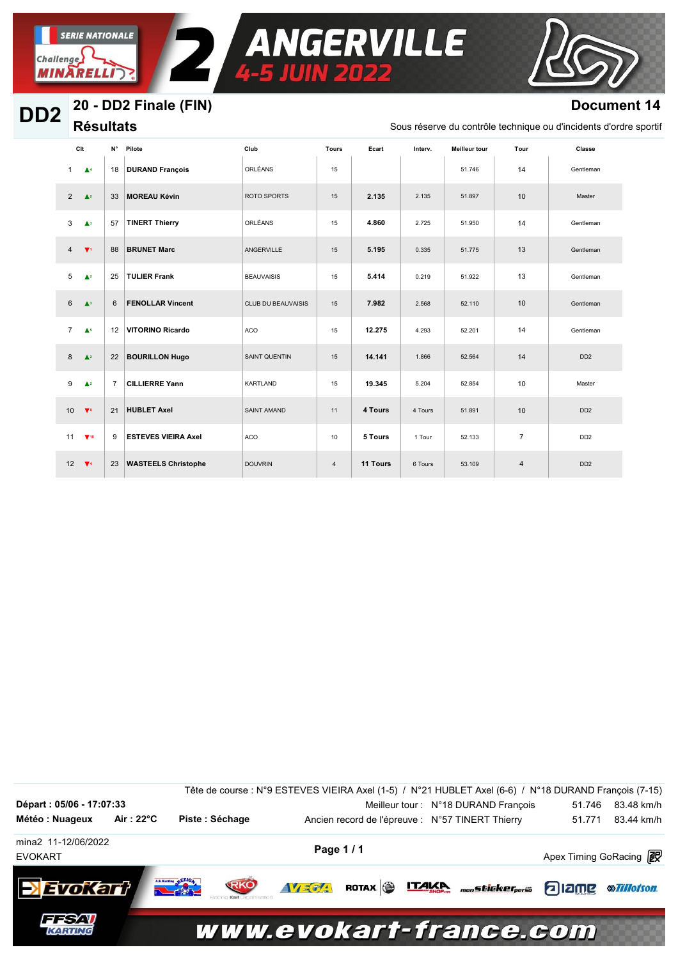

**SERIE NATIONALE** 

#### 20 - DD2 Finale (FIN) D<sub>D</sub><sub>2</sub>

## **Document 14**

**Résultats** 

Sous réserve du contrôle technique ou d'incidents d'ordre sportif

|                | Clt                             | N°             | Pilote                     | Club                      | <b>Tours</b>   | Ecart    | Interv. | <b>Meilleur tour</b> | Tour           | Classe                      |
|----------------|---------------------------------|----------------|----------------------------|---------------------------|----------------|----------|---------|----------------------|----------------|-----------------------------|
| $\mathbf{1}$   | $\blacktriangle^4$              | 18             | <b>DURAND François</b>     | ORLÉANS                   | 15             |          |         | 51.746               | 14             | Gentleman                   |
| $\overline{2}$ | $\blacktriangle^2$              | 33             | <b>MOREAU Kévin</b>        | ROTO SPORTS               | 15             | 2.135    | 2.135   | 51.897               | 10             | Master                      |
| 3              | $\triangle$ <sup>3</sup>        | 57             | <b>TINERT Thierry</b>      | ORLÉANS                   | 15             | 4.860    | 2.725   | 51.950               | 14             | Gentleman                   |
| $\overline{4}$ | $\Psi$                          | 88             | <b>BRUNET Marc</b>         | ANGERVILLE                | 15             | 5.195    | 0.335   | 51.775               | 13             | Gentleman                   |
| 5              | $\blacktriangle^2$              | 25             | <b>TULIER Frank</b>        | <b>BEAUVAISIS</b>         | 15             | 5.414    | 0.219   | 51.922               | 13             | Gentleman                   |
| 6              | $\blacktriangle^3$              | 6              | <b>FENOLLAR Vincent</b>    | <b>CLUB DU BEAUVAISIS</b> | 15             | 7.982    | 2.568   | 52.110               | 10             | Gentleman                   |
| $\overline{7}$ | $\blacktriangle^{\mathfrak{s}}$ | 12             | <b>VITORINO Ricardo</b>    | <b>ACO</b>                | 15             | 12.275   | 4.293   | 52.201               | 14             | Gentleman                   |
| 8              | $\blacktriangle^2$              | 22             | <b>BOURILLON Hugo</b>      | <b>SAINT QUENTIN</b>      | 15             | 14.141   | 1.866   | 52.564               | 14             | DD <sub>2</sub>             |
| 9              | $\triangle^2$                   | $\overline{7}$ | <b>CILLIERRE Yann</b>      | KARTLAND                  | 15             | 19.345   | 5.204   | 52.854               | 10             | Master                      |
| 10             | $\sqrt{8}$                      | 21             | <b>HUBLET Axel</b>         | <b>SAINT AMAND</b>        | 11             | 4 Tours  | 4 Tours | 51.891               | 10             | DD <sub>2</sub>             |
| 11             | $\Psi$ 10                       | 9              | <b>ESTEVES VIEIRA Axel</b> | ACO                       | 10             | 5 Tours  | 1 Tour  | 52.133               | $\overline{7}$ | DD <sub>2</sub>             |
| 12             | $\sqrt{4}$                      | 23             | <b>WASTEELS Christophe</b> | <b>DOUVRIN</b>            | $\overline{4}$ | 11 Tours | 6 Tours | 53.109               | $\overline{4}$ | D <sub>D</sub> <sub>2</sub> |

ANGERVILLE